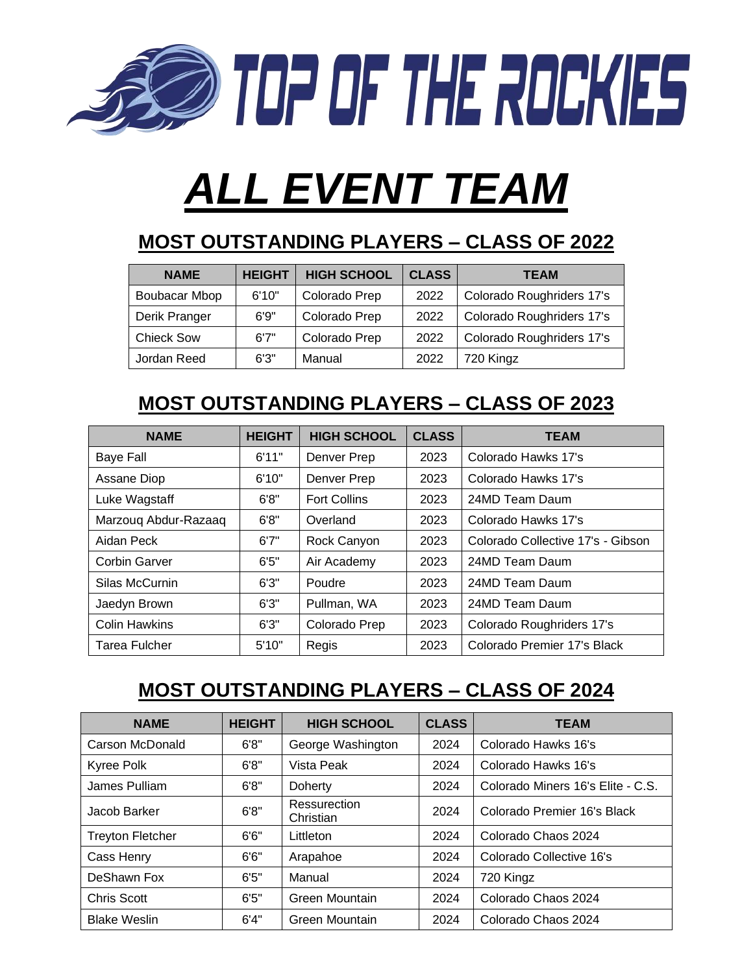

# *ALL EVENT TEAM*

## **MOST OUTSTANDING PLAYERS – CLASS OF 2022**

| <b>NAME</b>       | <b>HEIGHT</b> | <b>HIGH SCHOOL</b> | <b>CLASS</b> | <b>TEAM</b>               |
|-------------------|---------------|--------------------|--------------|---------------------------|
| Boubacar Mbop     | 6'10"         | Colorado Prep      | 2022         | Colorado Roughriders 17's |
| Derik Pranger     | 6'9"          | Colorado Prep      | 2022         | Colorado Roughriders 17's |
| <b>Chieck Sow</b> | 6'7''         | Colorado Prep      | 2022         | Colorado Roughriders 17's |
| Jordan Reed       | 6'3''         | Manual             | 2022         | 720 Kingz                 |

## **MOST OUTSTANDING PLAYERS – CLASS OF 2023**

| <b>NAME</b>          | <b>HEIGHT</b> | <b>HIGH SCHOOL</b>  | <b>CLASS</b> | <b>TEAM</b>                       |
|----------------------|---------------|---------------------|--------------|-----------------------------------|
| <b>Baye Fall</b>     | 6'11"         | Denver Prep         | 2023         | Colorado Hawks 17's               |
| Assane Diop          | 6'10"         | Denver Prep         | 2023         | Colorado Hawks 17's               |
| Luke Wagstaff        | 6'8"          | <b>Fort Collins</b> | 2023         | 24MD Team Daum                    |
| Marzoug Abdur-Razaaq | 6'8"          | Overland            | 2023         | Colorado Hawks 17's               |
| Aidan Peck           | 6'7''         | Rock Canyon         | 2023         | Colorado Collective 17's - Gibson |
| Corbin Garver        | 6'5''         | Air Academy         | 2023         | 24MD Team Daum                    |
| Silas McCurnin       | 6'3''         | Poudre              | 2023         | 24MD Team Daum                    |
| Jaedyn Brown         | 6'3''         | Pullman, WA         | 2023         | 24MD Team Daum                    |
| <b>Colin Hawkins</b> | 6'3''         | Colorado Prep       | 2023         | Colorado Roughriders 17's         |
| Tarea Fulcher        | 5'10"         | Regis               | 2023         | Colorado Premier 17's Black       |

# **MOST OUTSTANDING PLAYERS – CLASS OF 2024**

| <b>NAME</b>             | <b>HEIGHT</b> | <b>HIGH SCHOOL</b>        | <b>CLASS</b> | <b>TEAM</b>                       |
|-------------------------|---------------|---------------------------|--------------|-----------------------------------|
| Carson McDonald         | 6'8"          | George Washington         | 2024         | Colorado Hawks 16's               |
| Kyree Polk              | 6'8"          | Vista Peak                | 2024         | Colorado Hawks 16's               |
| James Pulliam           | 6'8"          | Doherty                   | 2024         | Colorado Miners 16's Elite - C.S. |
| Jacob Barker            | 6'8''         | Ressurection<br>Christian | 2024         | Colorado Premier 16's Black       |
| <b>Treyton Fletcher</b> | 6'6''         | Littleton                 | 2024         | Colorado Chaos 2024               |
| Cass Henry              | 6'6''         | Arapahoe                  | 2024         | Colorado Collective 16's          |
| DeShawn Fox             | 6'5''         | Manual                    | 2024         | 720 Kingz                         |
| <b>Chris Scott</b>      | 6'5''         | Green Mountain            | 2024         | Colorado Chaos 2024               |
| <b>Blake Weslin</b>     | 6'4"          | Green Mountain            | 2024         | Colorado Chaos 2024               |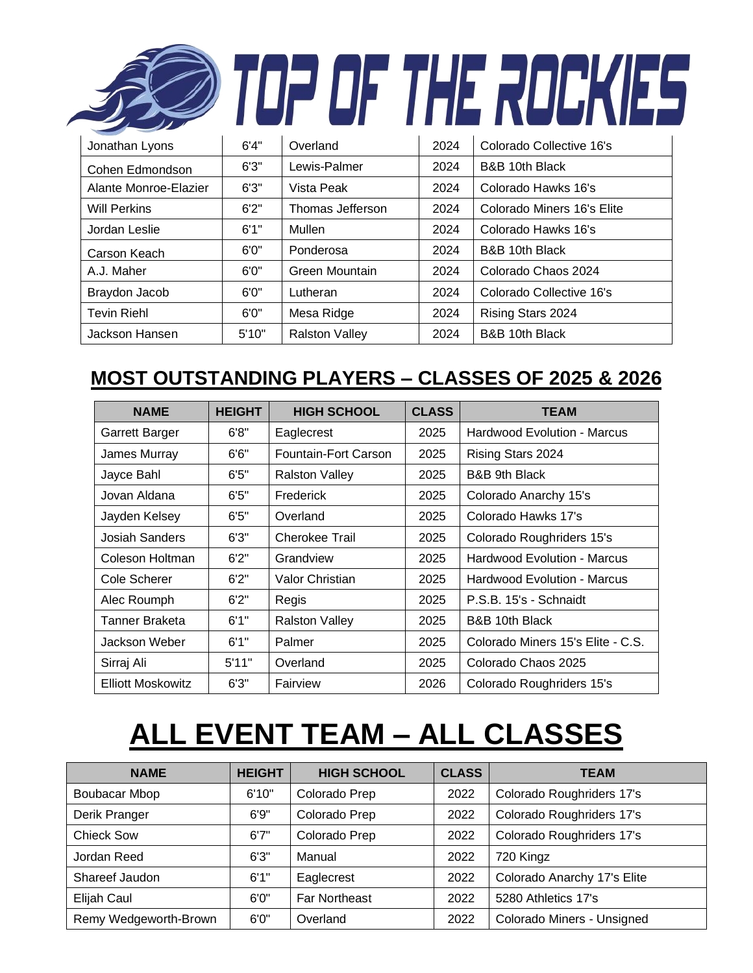|                       |       |                  |      | i fie Rulj                 |
|-----------------------|-------|------------------|------|----------------------------|
| Jonathan Lyons        | 6'4'' | Overland         | 2024 | Colorado Collective 16's   |
| Cohen Edmondson       | 6'3'' | Lewis-Palmer     | 2024 | B&B 10th Black             |
| Alante Monroe-Elazier | 6'3'' | Vista Peak       | 2024 | Colorado Hawks 16's        |
| <b>Will Perkins</b>   | 6'2'' | Thomas Jefferson | 2024 | Colorado Miners 16's Elite |
| Jordan Leslie         | 6'1"  | Mullen           | 2024 | Colorado Hawks 16's        |
| Carson Keach          | 6'0'' | Ponderosa        | 2024 | B&B 10th Black             |
| A.J. Maher            | 6'0'' | Green Mountain   | 2024 | Colorado Chaos 2024        |
| Braydon Jacob         | 6'0'' | Lutheran         | 2024 | Colorado Collective 16's   |
| <b>Tevin Riehl</b>    | 6'0'' | Mesa Ridge       | 2024 | Rising Stars 2024          |

#### **MOST OUTSTANDING PLAYERS – CLASSES OF 2025 & 2026**

Jackson Hansen | 5'10" | Ralston Valley | 2024 | B&B 10th Black

| <b>NAME</b>              | <b>HEIGHT</b> | <b>HIGH SCHOOL</b>    | <b>CLASS</b> | <b>TEAM</b>                        |
|--------------------------|---------------|-----------------------|--------------|------------------------------------|
| Garrett Barger           | 6'8"          | Eaglecrest            | 2025         | Hardwood Evolution - Marcus        |
| James Murray             | 6'6''         | Fountain-Fort Carson  | 2025         | Rising Stars 2024                  |
| Jayce Bahl               | 6'5''         | <b>Ralston Valley</b> | 2025         | B&B 9th Black                      |
| Jovan Aldana             | 6'5''         | Frederick             | 2025         | Colorado Anarchy 15's              |
| Jayden Kelsey            | 6'5''         | Overland              | 2025         | Colorado Hawks 17's                |
| <b>Josiah Sanders</b>    | 6'3''         | Cherokee Trail        | 2025         | Colorado Roughriders 15's          |
| Coleson Holtman          | 6'2''         | Grandview             | 2025         | <b>Hardwood Evolution - Marcus</b> |
| Cole Scherer             | 6'2''         | Valor Christian       | 2025         | <b>Hardwood Evolution - Marcus</b> |
| Alec Roumph              | 6'2''         | Regis                 | 2025         | P.S.B. 15's - Schnaidt             |
| Tanner Braketa           | 6'1"          | <b>Ralston Valley</b> | 2025         | B&B 10th Black                     |
| Jackson Weber            | 6'1"          | Palmer                | 2025         | Colorado Miners 15's Elite - C.S.  |
| Sirraj Ali               | 5'11"         | Overland              | 2025         | Colorado Chaos 2025                |
| <b>Elliott Moskowitz</b> | 6'3''         | Fairview              | 2026         | Colorado Roughriders 15's          |

# **ALL EVENT TEAM – ALL CLASSES**

| <b>NAME</b>           | <b>HEIGHT</b> | <b>HIGH SCHOOL</b>   | <b>CLASS</b> | <b>TEAM</b>                 |
|-----------------------|---------------|----------------------|--------------|-----------------------------|
| Boubacar Mbop         | 6'10"         | Colorado Prep        | 2022         | Colorado Roughriders 17's   |
| Derik Pranger         | 6'9''         | Colorado Prep        | 2022         | Colorado Roughriders 17's   |
| <b>Chieck Sow</b>     | 6'7''         | Colorado Prep        | 2022         | Colorado Roughriders 17's   |
| Jordan Reed           | 6'3''         | Manual               | 2022         | 720 Kingz                   |
| Shareef Jaudon        | 6'1''         | Eaglecrest           | 2022         | Colorado Anarchy 17's Elite |
| Elijah Caul           | 6'0''         | <b>Far Northeast</b> | 2022         | 5280 Athletics 17's         |
| Remy Wedgeworth-Brown | 6'0''         | Overland             | 2022         | Colorado Miners - Unsigned  |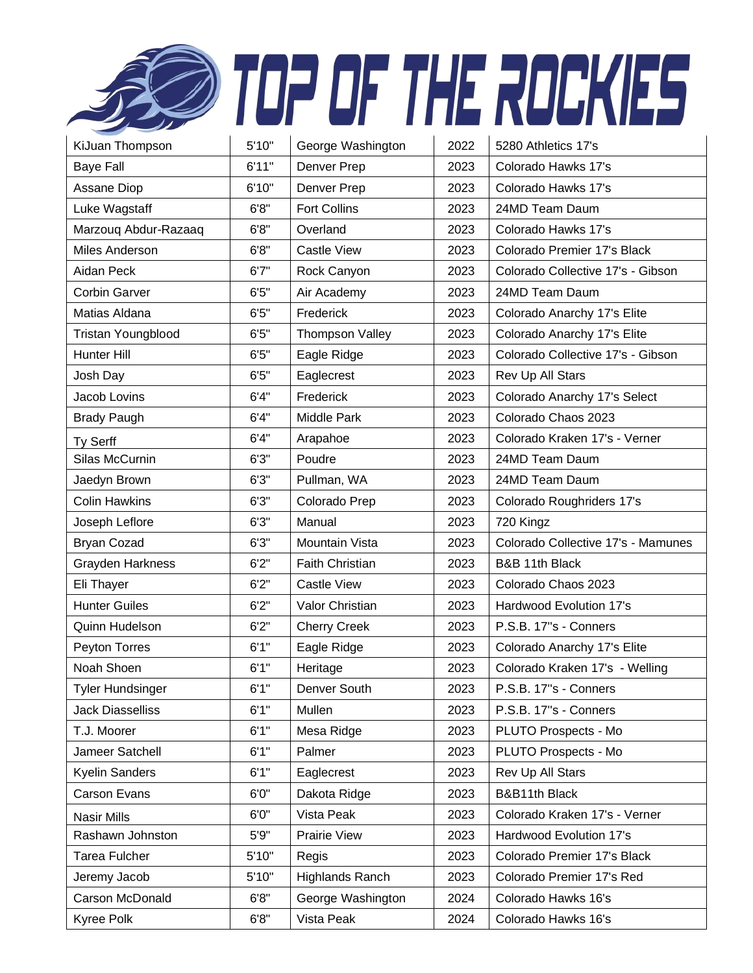|                         |       |                        |      | TOP OF THE ROCKIES                 |
|-------------------------|-------|------------------------|------|------------------------------------|
| KiJuan Thompson         | 5'10" | George Washington      | 2022 | 5280 Athletics 17's                |
| <b>Baye Fall</b>        | 6'11" | Denver Prep            | 2023 | Colorado Hawks 17's                |
| Assane Diop             | 6'10" | Denver Prep            | 2023 | Colorado Hawks 17's                |
| Luke Wagstaff           | 6'8'' | <b>Fort Collins</b>    | 2023 | 24MD Team Daum                     |
| Marzouq Abdur-Razaaq    | 6'8'' | Overland               | 2023 | Colorado Hawks 17's                |
| Miles Anderson          | 6'8'' | <b>Castle View</b>     | 2023 | Colorado Premier 17's Black        |
| Aidan Peck              | 6'7'' | Rock Canyon            | 2023 | Colorado Collective 17's - Gibson  |
| <b>Corbin Garver</b>    | 6'5'' | Air Academy            | 2023 | 24MD Team Daum                     |
| Matias Aldana           | 6'5'' | Frederick              | 2023 | Colorado Anarchy 17's Elite        |
| Tristan Youngblood      | 6'5'' | Thompson Valley        | 2023 | Colorado Anarchy 17's Elite        |
| <b>Hunter Hill</b>      | 6'5'' | Eagle Ridge            | 2023 | Colorado Collective 17's - Gibson  |
| Josh Day                | 6'5'' | Eaglecrest             | 2023 | Rev Up All Stars                   |
| Jacob Lovins            | 6'4'' | Frederick              | 2023 | Colorado Anarchy 17's Select       |
| <b>Brady Paugh</b>      | 6'4"  | <b>Middle Park</b>     | 2023 | Colorado Chaos 2023                |
| Ty Serff                | 6'4"  | Arapahoe               | 2023 | Colorado Kraken 17's - Verner      |
| Silas McCurnin          | 6'3'' | Poudre                 | 2023 | 24MD Team Daum                     |
| Jaedyn Brown            | 6'3'' | Pullman, WA            | 2023 | 24MD Team Daum                     |
| <b>Colin Hawkins</b>    | 6'3'' | Colorado Prep          | 2023 | Colorado Roughriders 17's          |
| Joseph Leflore          | 6'3'' | Manual                 | 2023 | 720 Kingz                          |
| <b>Bryan Cozad</b>      | 6'3'' | Mountain Vista         | 2023 | Colorado Collective 17's - Mamunes |
| Grayden Harkness        | 6'2'' | <b>Faith Christian</b> | 2023 | B&B 11th Black                     |
| Eli Thayer              | 6'2'' | <b>Castle View</b>     | 2023 | Colorado Chaos 2023                |
| <b>Hunter Guiles</b>    | 6'2'' | Valor Christian        | 2023 | Hardwood Evolution 17's            |
| Quinn Hudelson          | 6'2'' | <b>Cherry Creek</b>    | 2023 | P.S.B. 17"s - Conners              |
| Peyton Torres           | 6'1"  | Eagle Ridge            | 2023 | Colorado Anarchy 17's Elite        |
| Noah Shoen              | 6'1"  | Heritage               | 2023 | Colorado Kraken 17's - Welling     |
| <b>Tyler Hundsinger</b> | 6'1"  | Denver South           | 2023 | P.S.B. 17"s - Conners              |
| <b>Jack Diasselliss</b> | 6'1"  | Mullen                 | 2023 | P.S.B. 17"s - Conners              |
| T.J. Moorer             | 6'1"  | Mesa Ridge             | 2023 | PLUTO Prospects - Mo               |
| Jameer Satchell         | 6'1"  | Palmer                 | 2023 | PLUTO Prospects - Mo               |
| Kyelin Sanders          | 6'1"  | Eaglecrest             | 2023 | Rev Up All Stars                   |
| <b>Carson Evans</b>     | 6'0'' | Dakota Ridge           | 2023 | B&B11th Black                      |
| Nasir Mills             | 6'0'' | Vista Peak             | 2023 | Colorado Kraken 17's - Verner      |
| Rashawn Johnston        | 5'9'' | <b>Prairie View</b>    | 2023 | Hardwood Evolution 17's            |
| <b>Tarea Fulcher</b>    | 5'10" | Regis                  | 2023 | Colorado Premier 17's Black        |
| Jeremy Jacob            | 5'10" | <b>Highlands Ranch</b> | 2023 | Colorado Premier 17's Red          |
| Carson McDonald         | 6'8'' | George Washington      | 2024 | Colorado Hawks 16's                |
| Kyree Polk              | 6'8'' | Vista Peak             | 2024 | Colorado Hawks 16's                |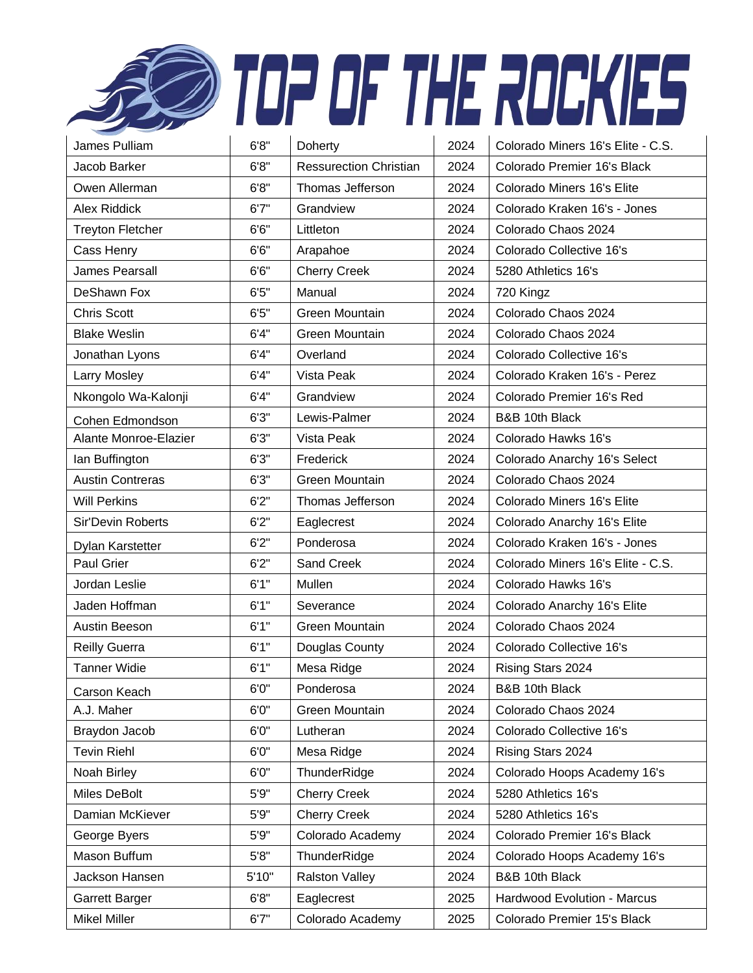|                          |        |                               |      | TOP OF THE ROCKIES                |
|--------------------------|--------|-------------------------------|------|-----------------------------------|
| James Pulliam            | 6'8''  | Doherty                       | 2024 | Colorado Miners 16's Elite - C.S. |
| Jacob Barker             | 6'8''  | <b>Ressurection Christian</b> | 2024 | Colorado Premier 16's Black       |
| Owen Allerman            | 6'8''  | Thomas Jefferson              | 2024 | Colorado Miners 16's Elite        |
| <b>Alex Riddick</b>      | 6'7''  | Grandview                     | 2024 | Colorado Kraken 16's - Jones      |
| <b>Treyton Fletcher</b>  | 6'6''  | Littleton                     | 2024 | Colorado Chaos 2024               |
| Cass Henry               | 6'6''  | Arapahoe                      | 2024 | Colorado Collective 16's          |
| James Pearsall           | 6'6''  | <b>Cherry Creek</b>           | 2024 | 5280 Athletics 16's               |
| DeShawn Fox              | $6'5"$ | Manual                        | 2024 | 720 Kingz                         |
| <b>Chris Scott</b>       | 6'5''  | <b>Green Mountain</b>         | 2024 | Colorado Chaos 2024               |
| <b>Blake Weslin</b>      | 6'4''  | Green Mountain                | 2024 | Colorado Chaos 2024               |
| Jonathan Lyons           | 6'4''  | Overland                      | 2024 | Colorado Collective 16's          |
| Larry Mosley             | 6'4"   | Vista Peak                    | 2024 | Colorado Kraken 16's - Perez      |
| Nkongolo Wa-Kalonji      | 6'4''  | Grandview                     | 2024 | Colorado Premier 16's Red         |
| Cohen Edmondson          | 6'3''  | Lewis-Palmer                  | 2024 | B&B 10th Black                    |
| Alante Monroe-Elazier    | 6'3''  | Vista Peak                    | 2024 | Colorado Hawks 16's               |
| Ian Buffington           | 6'3''  | Frederick                     | 2024 | Colorado Anarchy 16's Select      |
| <b>Austin Contreras</b>  | 6'3''  | Green Mountain                | 2024 | Colorado Chaos 2024               |
| <b>Will Perkins</b>      | 6'2''  | Thomas Jefferson              | 2024 | Colorado Miners 16's Elite        |
| <b>Sir'Devin Roberts</b> | 6'2''  | Eaglecrest                    | 2024 | Colorado Anarchy 16's Elite       |
| Dylan Karstetter         | 6'2''  | Ponderosa                     | 2024 | Colorado Kraken 16's - Jones      |
| Paul Grier               | 6'2''  | <b>Sand Creek</b>             | 2024 | Colorado Miners 16's Elite - C.S. |
| Jordan Leslie            | 6'1''  | Mullen                        | 2024 | Colorado Hawks 16's               |
| Jaden Hoffman            | 6'1"   | Severance                     | 2024 | Colorado Anarchy 16's Elite       |
| Austin Beeson            | 6'1''  | Green Mountain                | 2024 | Colorado Chaos 2024               |
| <b>Reilly Guerra</b>     | 6'1''  | Douglas County                | 2024 | Colorado Collective 16's          |
| <b>Tanner Widie</b>      | 6'1"   | Mesa Ridge                    | 2024 | Rising Stars 2024                 |
| Carson Keach             | 6'0''  | Ponderosa                     | 2024 | B&B 10th Black                    |
| A.J. Maher               | 6'0''  | Green Mountain                | 2024 | Colorado Chaos 2024               |
| Braydon Jacob            | 6'0''  | Lutheran                      | 2024 | Colorado Collective 16's          |
| <b>Tevin Riehl</b>       | 6'0''  | Mesa Ridge                    | 2024 | Rising Stars 2024                 |
| Noah Birley              | 6'0''  | ThunderRidge                  | 2024 | Colorado Hoops Academy 16's       |
| Miles DeBolt             | 5'9''  | <b>Cherry Creek</b>           | 2024 | 5280 Athletics 16's               |
| Damian McKiever          | 5'9''  | <b>Cherry Creek</b>           | 2024 | 5280 Athletics 16's               |
| George Byers             | 5'9''  | Colorado Academy              | 2024 | Colorado Premier 16's Black       |
| Mason Buffum             | 5'8"   | ThunderRidge                  | 2024 | Colorado Hoops Academy 16's       |
| Jackson Hansen           | 5'10"  | <b>Ralston Valley</b>         | 2024 | B&B 10th Black                    |
| Garrett Barger           | 6'8''  | Eaglecrest                    | 2025 | Hardwood Evolution - Marcus       |
| Mikel Miller             | 6'7''  | Colorado Academy              | 2025 | Colorado Premier 15's Black       |